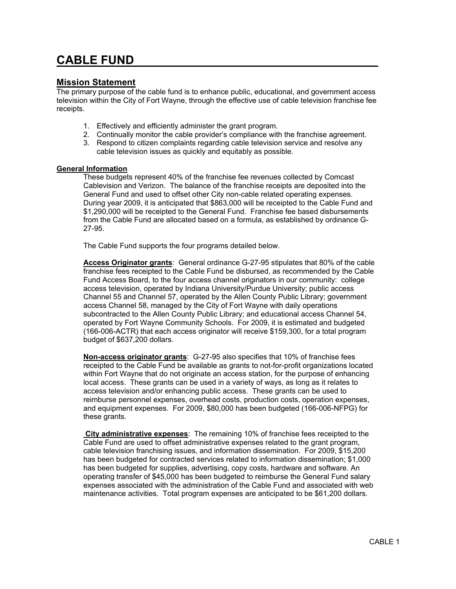## CABLE FUND

## Mission Statement

The primary purpose of the cable fund is to enhance public, educational, and government access television within the City of Fort Wayne, through the effective use of cable television franchise fee receipts.

- 1. Effectively and efficiently administer the grant program.
- 2. Continually monitor the cable provider's compliance with the franchise agreement.
- 3. Respond to citizen complaints regarding cable television service and resolve any cable television issues as quickly and equitably as possible.

## **General Information**

These budgets represent 40% of the franchise fee revenues collected by Comcast Cablevision and Verizon. The balance of the franchise receipts are deposited into the General Fund and used to offset other City non-cable related operating expenses. During year 2009, it is anticipated that \$863,000 will be receipted to the Cable Fund and \$1,290,000 will be receipted to the General Fund. Franchise fee based disbursements from the Cable Fund are allocated based on a formula, as established by ordinance G-27-95.

The Cable Fund supports the four programs detailed below.

Access Originator grants: General ordinance G-27-95 stipulates that 80% of the cable franchise fees receipted to the Cable Fund be disbursed, as recommended by the Cable Fund Access Board, to the four access channel originators in our community: college access television, operated by Indiana University/Purdue University; public access Channel 55 and Channel 57, operated by the Allen County Public Library; government access Channel 58, managed by the City of Fort Wayne with daily operations subcontracted to the Allen County Public Library; and educational access Channel 54, operated by Fort Wayne Community Schools. For 2009, it is estimated and budgeted (166-006-ACTR) that each access originator will receive \$159,300, for a total program budget of \$637,200 dollars.

Non-access originator grants: G-27-95 also specifies that 10% of franchise fees receipted to the Cable Fund be available as grants to not-for-profit organizations located within Fort Wayne that do not originate an access station, for the purpose of enhancing local access. These grants can be used in a variety of ways, as long as it relates to access television and/or enhancing public access. These grants can be used to reimburse personnel expenses, overhead costs, production costs, operation expenses, and equipment expenses. For 2009, \$80,000 has been budgeted (166-006-NFPG) for these grants.

 City administrative expenses: The remaining 10% of franchise fees receipted to the Cable Fund are used to offset administrative expenses related to the grant program, cable television franchising issues, and information dissemination. For 2009, \$15,200 has been budgeted for contracted services related to information dissemination; \$1,000 has been budgeted for supplies, advertising, copy costs, hardware and software. An operating transfer of \$45,000 has been budgeted to reimburse the General Fund salary expenses associated with the administration of the Cable Fund and associated with web maintenance activities. Total program expenses are anticipated to be \$61,200 dollars.